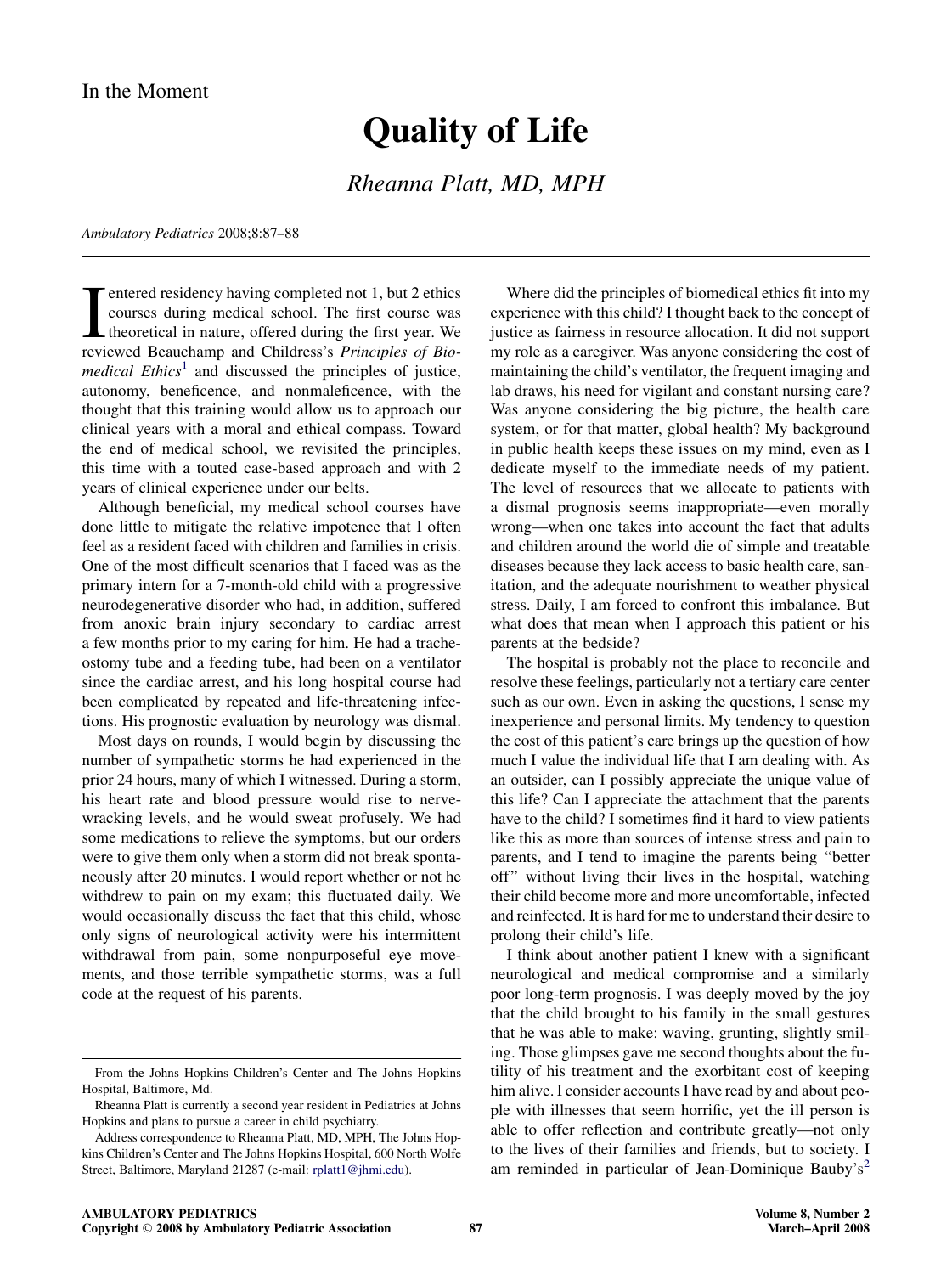## Quality of Life

Rheanna Platt, MD, MPH

Ambulatory Pediatrics 2008;8:87–88

T entered residency having completed not 1, but 2 ethics<br>courses during medical school. The first course was<br>theoretical in nature, offered during the first year. We<br>reviewed Beauchamp and Childress's Principles of Bioentered residency having completed not 1, but 2 ethics courses during medical school. The first course was theoretical in nature, offered during the first year. We *medical*  $Ethics<sup>1</sup>$  $Ethics<sup>1</sup>$  $Ethics<sup>1</sup>$  and discussed the principles of justice, autonomy, beneficence, and nonmaleficence, with the thought that this training would allow us to approach our clinical years with a moral and ethical compass. Toward the end of medical school, we revisited the principles, this time with a touted case-based approach and with 2 years of clinical experience under our belts.

Although beneficial, my medical school courses have done little to mitigate the relative impotence that I often feel as a resident faced with children and families in crisis. One of the most difficult scenarios that I faced was as the primary intern for a 7-month-old child with a progressive neurodegenerative disorder who had, in addition, suffered from anoxic brain injury secondary to cardiac arrest a few months prior to my caring for him. He had a tracheostomy tube and a feeding tube, had been on a ventilator since the cardiac arrest, and his long hospital course had been complicated by repeated and life-threatening infections. His prognostic evaluation by neurology was dismal.

Most days on rounds, I would begin by discussing the number of sympathetic storms he had experienced in the prior 24 hours, many of which I witnessed. During a storm, his heart rate and blood pressure would rise to nervewracking levels, and he would sweat profusely. We had some medications to relieve the symptoms, but our orders were to give them only when a storm did not break spontaneously after 20 minutes. I would report whether or not he withdrew to pain on my exam; this fluctuated daily. We would occasionally discuss the fact that this child, whose only signs of neurological activity were his intermittent withdrawal from pain, some nonpurposeful eye movements, and those terrible sympathetic storms, was a full code at the request of his parents.

Where did the principles of biomedical ethics fit into my experience with this child? I thought back to the concept of justice as fairness in resource allocation. It did not support my role as a caregiver. Was anyone considering the cost of maintaining the child's ventilator, the frequent imaging and lab draws, his need for vigilant and constant nursing care? Was anyone considering the big picture, the health care system, or for that matter, global health? My background in public health keeps these issues on my mind, even as I dedicate myself to the immediate needs of my patient. The level of resources that we allocate to patients with a dismal prognosis seems inappropriate—even morally wrong—when one takes into account the fact that adults and children around the world die of simple and treatable diseases because they lack access to basic health care, sanitation, and the adequate nourishment to weather physical stress. Daily, I am forced to confront this imbalance. But what does that mean when I approach this patient or his parents at the bedside?

The hospital is probably not the place to reconcile and resolve these feelings, particularly not a tertiary care center such as our own. Even in asking the questions, I sense my inexperience and personal limits. My tendency to question the cost of this patient's care brings up the question of how much I value the individual life that I am dealing with. As an outsider, can I possibly appreciate the unique value of this life? Can I appreciate the attachment that the parents have to the child? I sometimes find it hard to view patients like this as more than sources of intense stress and pain to parents, and I tend to imagine the parents being ''better off'' without living their lives in the hospital, watching their child become more and more uncomfortable, infected and reinfected. It is hard for me to understand their desire to prolong their child's life.

I think about another patient I knew with a significant neurological and medical compromise and a similarly poor long-term prognosis. I was deeply moved by the joy that the child brought to his family in the small gestures that he was able to make: waving, grunting, slightly smiling. Those glimpses gave me second thoughts about the futility of his treatment and the exorbitant cost of keeping him alive. I consider accounts I have read by and about people with illnesses that seem horrific, yet the ill person is able to offer reflection and contribute greatly—not only to the lives of their families and friends, but to society. I am reminded in particular of Jean-Dominique Bauby's<sup>[2](#page-1-0)</sup>

From the Johns Hopkins Children's Center and The Johns Hopkins Hospital, Baltimore, Md.

Rheanna Platt is currently a second year resident in Pediatrics at Johns Hopkins and plans to pursue a career in child psychiatry.

Address correspondence to Rheanna Platt, MD, MPH, The Johns Hopkins Children's Center and The Johns Hopkins Hospital, 600 North Wolfe Street, Baltimore, Maryland 21287 (e-mail: [rplatt1@jhmi.edu\)](mailto:rplatt1@jhmi.edu).